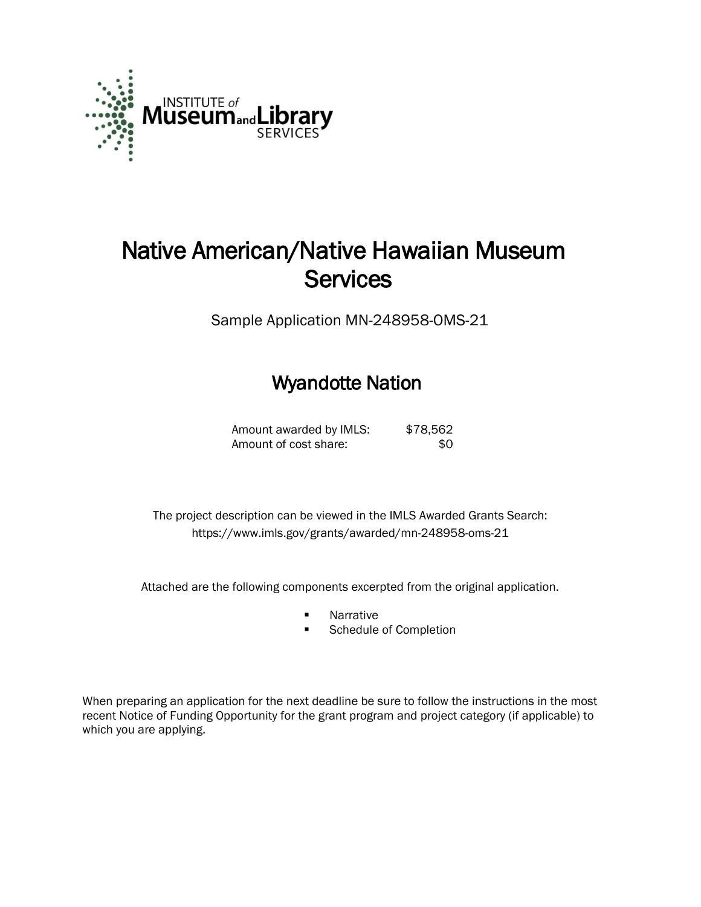

# Native American/Native Hawaiian Museum **Services**

Sample Application MN-248958-OMS-21

# Wyandotte Nation

Amount awarded by IMLS: \$78,562 Amount of cost share:  $$0$ 

 The project description can be viewed in the IMLS Awarded Grants Search: <https://www.imls.gov/grants/awarded/mn-248958-oms-21>

Attached are the following components excerpted from the original application.

- **Narrative**
- **Schedule of Completion**

When preparing an application for the next deadline be sure to follow the instructions in the most recent Notice of Funding Opportunity for the grant program and project category (if applicable) to which you are applying.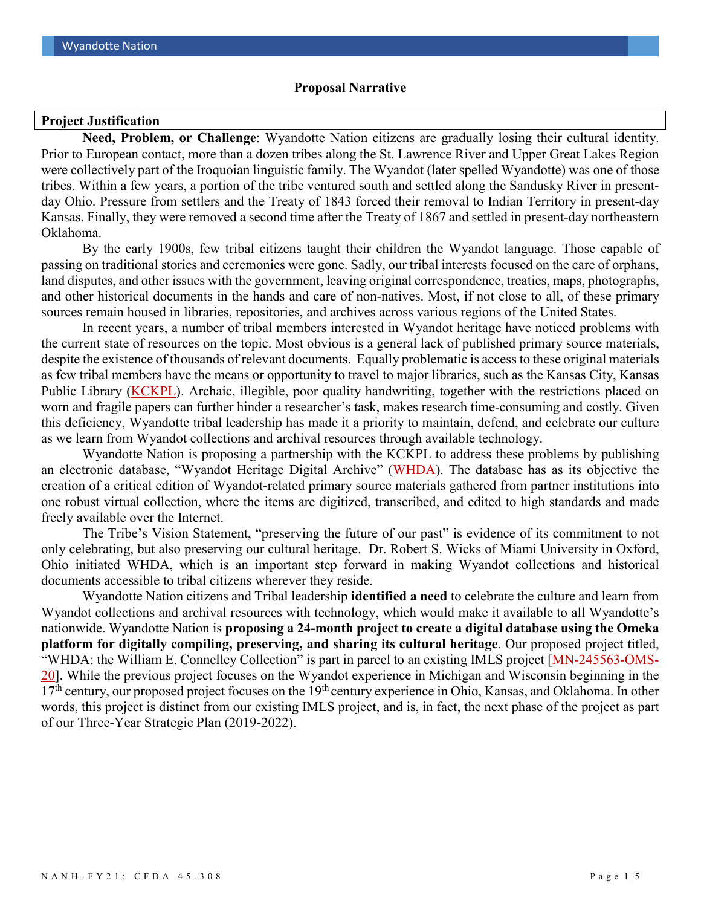#### **Proposal Narrative**

#### **Project Justification**

**Need, Problem, or Challenge**: Wyandotte Nation citizens are gradually losing their cultural identity. Prior to European contact, more than a dozen tribes along the St. Lawrence River and Upper Great Lakes Region were collectively part of the Iroquoian linguistic family. The Wyandot (later spelled Wyandotte) was one of those tribes. Within a few years, a portion of the tribe ventured south and settled along the Sandusky River in presentday Ohio. Pressure from settlers and the Treaty of 1843 forced their removal to Indian Territory in present-day Kansas. Finally, they were removed a second time after the Treaty of 1867 and settled in present-day northeastern Oklahoma.

By the early 1900s, few tribal citizens taught their children the Wyandot language. Those capable of passing on traditional stories and ceremonies were gone. Sadly, our tribal interests focused on the care of orphans, land disputes, and other issues with the government, leaving original correspondence, treaties, maps, photographs, and other historical documents in the hands and care of non-natives. Most, if not close to all, of these primary sources remain housed in libraries, repositories, and archives across various regions of the United States.

In recent years, a number of tribal members interested in Wyandot heritage have noticed problems with the current state of resources on the topic. Most obvious is a general lack of published primary source materials, despite the existence of thousands of relevant documents. Equally problematic is access to these original materials as few tribal members have the means or opportunity to travel to major libraries, such as the Kansas City, Kansas Public Library [\(KCKPL\)](https://www.kckpl.org/). Archaic, illegible, poor quality handwriting, together with the restrictions placed on worn and fragile papers can further hinder a researcher's task, makes research time-consuming and costly. Given this deficiency, Wyandotte tribal leadership has made it a priority to maintain, defend, and celebrate our culture as we learn from Wyandot collections and archival resources through available technology.

Wyandotte Nation is proposing a partnership with the KCKPL to address these problems by publishing an electronic database, "Wyandot Heritage Digital Archive" [\(WHDA\)](https://whda.omeka.net/). The database has as its objective the creation of a critical edition of Wyandot-related primary source materials gathered from partner institutions into one robust virtual collection, where the items are digitized, transcribed, and edited to high standards and made freely available over the Internet.

The Tribe's Vision Statement, "preserving the future of our past" is evidence of its commitment to not only celebrating, but also preserving our cultural heritage. Dr. Robert S. Wicks of Miami University in Oxford, Ohio initiated WHDA, which is an important step forward in making Wyandot collections and historical documents accessible to tribal citizens wherever they reside.

Wyandotte Nation citizens and Tribal leadership **identified a need** to celebrate the culture and learn from Wyandot collections and archival resources with technology, which would make it available to all Wyandotte's nationwide. Wyandotte Nation is **proposing a 24-month project to create a digital database using the Omeka platform for digitally compiling, preserving, and sharing its cultural heritage**. Our proposed project titled, "WHDA: the William E. Connelley Collection" is part in parcel to an existing IMLS project [\[MN-245563-OMS-](https://www.imls.gov/grants/awarded/mn-245563-oms-20)[20\]](https://www.imls.gov/grants/awarded/mn-245563-oms-20). While the previous project focuses on the Wyandot experience in Michigan and Wisconsin beginning in the  $17<sup>th</sup>$  century, our proposed project focuses on the  $19<sup>th</sup>$  century experience in Ohio, Kansas, and Oklahoma. In other words, this project is distinct from our existing IMLS project, and is, in fact, the next phase of the project as part of our Three-Year Strategic Plan (2019-2022).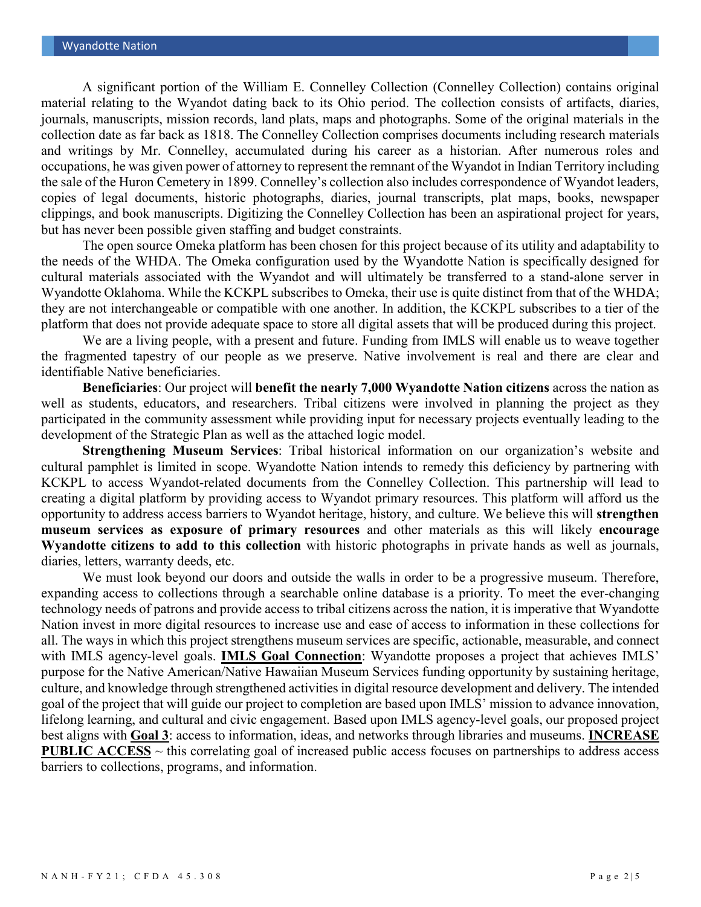A significant portion of the William E. Connelley Collection (Connelley Collection) contains original material relating to the Wyandot dating back to its Ohio period. The collection consists of artifacts, diaries, journals, manuscripts, mission records, land plats, maps and photographs. Some of the original materials in the collection date as far back as 1818. The Connelley Collection comprises documents including research materials and writings by Mr. Connelley, accumulated during his career as a historian. After numerous roles and occupations, he was given power of attorney to represent the remnant of the Wyandot in Indian Territory including the sale of the Huron Cemetery in 1899. Connelley's collection also includes correspondence of Wyandot leaders, copies of legal documents, historic photographs, diaries, journal transcripts, plat maps, books, newspaper clippings, and book manuscripts. Digitizing the Connelley Collection has been an aspirational project for years, but has never been possible given staffing and budget constraints.

The open source Omeka platform has been chosen for this project because of its utility and adaptability to the needs of the WHDA. The Omeka configuration used by the Wyandotte Nation is specifically designed for cultural materials associated with the Wyandot and will ultimately be transferred to a stand-alone server in Wyandotte Oklahoma. While the KCKPL subscribes to Omeka, their use is quite distinct from that of the WHDA; they are not interchangeable or compatible with one another. In addition, the KCKPL subscribes to a tier of the platform that does not provide adequate space to store all digital assets that will be produced during this project.

We are a living people, with a present and future. Funding from IMLS will enable us to weave together the fragmented tapestry of our people as we preserve. Native involvement is real and there are clear and identifiable Native beneficiaries.

**Beneficiaries**: Our project will **benefit the nearly 7,000 Wyandotte Nation citizens** across the nation as well as students, educators, and researchers. Tribal citizens were involved in planning the project as they participated in the community assessment while providing input for necessary projects eventually leading to the development of the Strategic Plan as well as the attached logic model.

**Strengthening Museum Services**: Tribal historical information on our organization's website and cultural pamphlet is limited in scope. Wyandotte Nation intends to remedy this deficiency by partnering with KCKPL to access Wyandot-related documents from the Connelley Collection. This partnership will lead to creating a digital platform by providing access to Wyandot primary resources. This platform will afford us the opportunity to address access barriers to Wyandot heritage, history, and culture. We believe this will **strengthen museum services as exposure of primary resources** and other materials as this will likely **encourage Wyandotte citizens to add to this collection** with historic photographs in private hands as well as journals, diaries, letters, warranty deeds, etc.

We must look beyond our doors and outside the walls in order to be a progressive museum. Therefore, expanding access to collections through a searchable online database is a priority. To meet the ever-changing technology needs of patrons and provide access to tribal citizens across the nation, it is imperative that Wyandotte Nation invest in more digital resources to increase use and ease of access to information in these collections for all. The ways in which this project strengthens museum services are specific, actionable, measurable, and connect with IMLS agency-level goals. **IMLS Goal Connection**: Wyandotte proposes a project that achieves IMLS' purpose for the Native American/Native Hawaiian Museum Services funding opportunity by sustaining heritage, culture, and knowledge through strengthened activities in digital resource development and delivery. The intended goal of the project that will guide our project to completion are based upon IMLS' mission to advance innovation, lifelong learning, and cultural and civic engagement. Based upon IMLS agency-level goals, our proposed project best aligns with **Goal 3**: access to information, ideas, and networks through libraries and museums. **INCREASE PUBLIC ACCESS** ~ this correlating goal of increased public access focuses on partnerships to address access barriers to collections, programs, and information.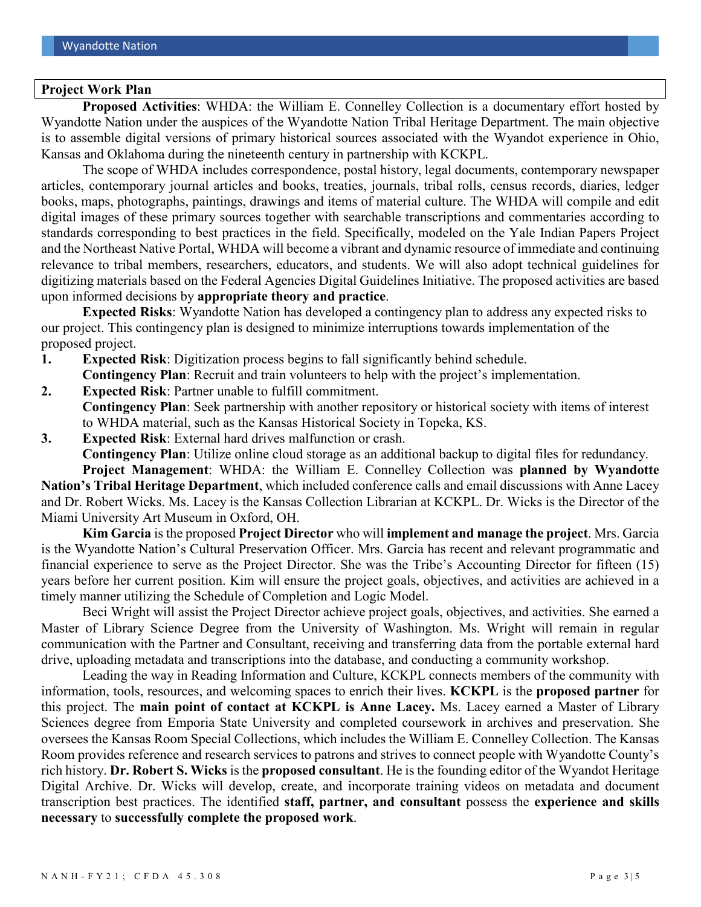#### **Project Work Plan**

**Proposed Activities**: WHDA: the William E. Connelley Collection is a documentary effort hosted by Wyandotte Nation under the auspices of the Wyandotte Nation Tribal Heritage Department. The main objective is to assemble digital versions of primary historical sources associated with the Wyandot experience in Ohio, Kansas and Oklahoma during the nineteenth century in partnership with KCKPL.

The scope of WHDA includes correspondence, postal history, legal documents, contemporary newspaper articles, contemporary journal articles and books, treaties, journals, tribal rolls, census records, diaries, ledger books, maps, photographs, paintings, drawings and items of material culture. The WHDA will compile and edit digital images of these primary sources together with searchable transcriptions and commentaries according to standards corresponding to best practices in the field. Specifically, modeled on the Yale Indian Papers Project and the Northeast Native Portal, WHDA will become a vibrant and dynamic resource of immediate and continuing relevance to tribal members, researchers, educators, and students. We will also adopt technical guidelines for digitizing materials based on the Federal Agencies Digital Guidelines Initiative. The proposed activities are based upon informed decisions by **appropriate theory and practice**.

**Expected Risks**: Wyandotte Nation has developed a contingency plan to address any expected risks to our project. This contingency plan is designed to minimize interruptions towards implementation of the proposed project.

- **1. Expected Risk**: Digitization process begins to fall significantly behind schedule.
- **Contingency Plan**: Recruit and train volunteers to help with the project's implementation.
- **2. Expected Risk**: Partner unable to fulfill commitment.
- **Contingency Plan**: Seek partnership with another repository or historical society with items of interest to WHDA material, such as the Kansas Historical Society in Topeka, KS.
- **3. Expected Risk**: External hard drives malfunction or crash. **Contingency Plan**: Utilize online cloud storage as an additional backup to digital files for redundancy. **Project Management**: WHDA: the William E. Connelley Collection was **planned by Wyandotte**

**Nation's Tribal Heritage Department**, which included conference calls and email discussions with Anne Lacey and Dr. Robert Wicks. Ms. Lacey is the Kansas Collection Librarian at KCKPL. Dr. Wicks is the Director of the Miami University Art Museum in Oxford, OH.

**Kim Garcia** is the proposed **Project Director** who will **implement and manage the project**. Mrs. Garcia is the Wyandotte Nation's Cultural Preservation Officer. Mrs. Garcia has recent and relevant programmatic and financial experience to serve as the Project Director. She was the Tribe's Accounting Director for fifteen (15) years before her current position. Kim will ensure the project goals, objectives, and activities are achieved in a timely manner utilizing the Schedule of Completion and Logic Model.

Beci Wright will assist the Project Director achieve project goals, objectives, and activities. She earned a Master of Library Science Degree from the University of Washington. Ms. Wright will remain in regular communication with the Partner and Consultant, receiving and transferring data from the portable external hard drive, uploading metadata and transcriptions into the database, and conducting a community workshop.

Leading the way in Reading Information and Culture, KCKPL connects members of the community with information, tools, resources, and welcoming spaces to enrich their lives. **KCKPL** is the **proposed partner** for this project. The **main point of contact at KCKPL is Anne Lacey.** Ms. Lacey earned a Master of Library Sciences degree from Emporia State University and completed coursework in archives and preservation. She oversees the Kansas Room Special Collections, which includes the William E. Connelley Collection. The Kansas Room provides reference and research services to patrons and strives to connect people with Wyandotte County's rich history. **Dr. Robert S. Wicks** is the **proposed consultant**. He is the founding editor of the Wyandot Heritage Digital Archive. Dr. Wicks will develop, create, and incorporate training videos on metadata and document transcription best practices. The identified **staff, partner, and consultant** possess the **experience and skills necessary** to **successfully complete the proposed work**.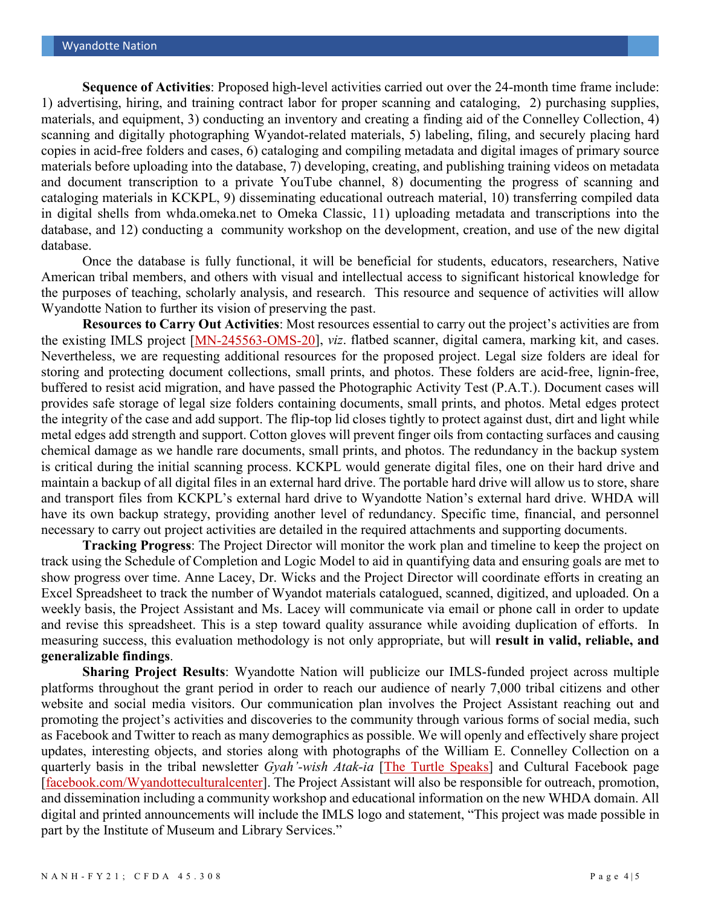**Sequence of Activities**: Proposed high-level activities carried out over the 24-month time frame include: 1) advertising, hiring, and training contract labor for proper scanning and cataloging, 2) purchasing supplies, materials, and equipment, 3) conducting an inventory and creating a finding aid of the Connelley Collection, 4) scanning and digitally photographing Wyandot-related materials, 5) labeling, filing, and securely placing hard copies in acid-free folders and cases, 6) cataloging and compiling metadata and digital images of primary source materials before uploading into the database, 7) developing, creating, and publishing training videos on metadata and document transcription to a private YouTube channel, 8) documenting the progress of scanning and cataloging materials in KCKPL, 9) disseminating educational outreach material, 10) transferring compiled data in digital shells from whda.omeka.net to Omeka Classic, 11) uploading metadata and transcriptions into the database, and 12) conducting a community workshop on the development, creation, and use of the new digital database.

Once the database is fully functional, it will be beneficial for students, educators, researchers, Native American tribal members, and others with visual and intellectual access to significant historical knowledge for the purposes of teaching, scholarly analysis, and research. This resource and sequence of activities will allow Wyandotte Nation to further its vision of preserving the past.

**Resources to Carry Out Activities**: Most resources essential to carry out the project's activities are from the existing IMLS project [\[MN-245563-OMS-20\]](https://www.imls.gov/grants/awarded/mn-245563-oms-20), *viz*. flatbed scanner, digital camera, marking kit, and cases. Nevertheless, we are requesting additional resources for the proposed project. Legal size folders are ideal for storing and protecting document collections, small prints, and photos. These folders are acid-free, lignin-free, buffered to resist acid migration, and have passed the Photographic Activity Test (P.A.T.). Document cases will provides safe storage of legal size folders containing documents, small prints, and photos. Metal edges protect the integrity of the case and add support. The flip-top lid closes tightly to protect against dust, dirt and light while metal edges add strength and support. Cotton gloves will prevent finger oils from contacting surfaces and causing chemical damage as we handle rare documents, small prints, and photos. The redundancy in the backup system is critical during the initial scanning process. KCKPL would generate digital files, one on their hard drive and maintain a backup of all digital files in an external hard drive. The portable hard drive will allow us to store, share and transport files from KCKPL's external hard drive to Wyandotte Nation's external hard drive. WHDA will have its own backup strategy, providing another level of redundancy. Specific time, financial, and personnel necessary to carry out project activities are detailed in the required attachments and supporting documents.

**Tracking Progress**: The Project Director will monitor the work plan and timeline to keep the project on track using the Schedule of Completion and Logic Model to aid in quantifying data and ensuring goals are met to show progress over time. Anne Lacey, Dr. Wicks and the Project Director will coordinate efforts in creating an Excel Spreadsheet to track the number of Wyandot materials catalogued, scanned, digitized, and uploaded. On a weekly basis, the Project Assistant and Ms. Lacey will communicate via email or phone call in order to update and revise this spreadsheet. This is a step toward quality assurance while avoiding duplication of efforts. In measuring success, this evaluation methodology is not only appropriate, but will **result in valid, reliable, and generalizable findings**.

**Sharing Project Results**: Wyandotte Nation will publicize our IMLS-funded project across multiple platforms throughout the grant period in order to reach our audience of nearly 7,000 tribal citizens and other website and social media visitors. Our communication plan involves the Project Assistant reaching out and promoting the project's activities and discoveries to the community through various forms of social media, such as Facebook and Twitter to reach as many demographics as possible. We will openly and effectively share project updates, interesting objects, and stories along with photographs of the William E. Connelley Collection on a quarterly basis in the tribal newsletter *Gyah'-wish Atak-ia* [\[The Turtle Speaks\]](https://www.wyandotte-nation.org/media/) and Cultural Facebook page [\[facebook.com/Wyandotteculturalcenter\]](https://www.facebook.com/Wyandotteculturalcenter/). The Project Assistant will also be responsible for outreach, promotion, and dissemination including a community workshop and educational information on the new WHDA domain. All digital and printed announcements will include the IMLS logo and statement, "This project was made possible in part by the Institute of Museum and Library Services."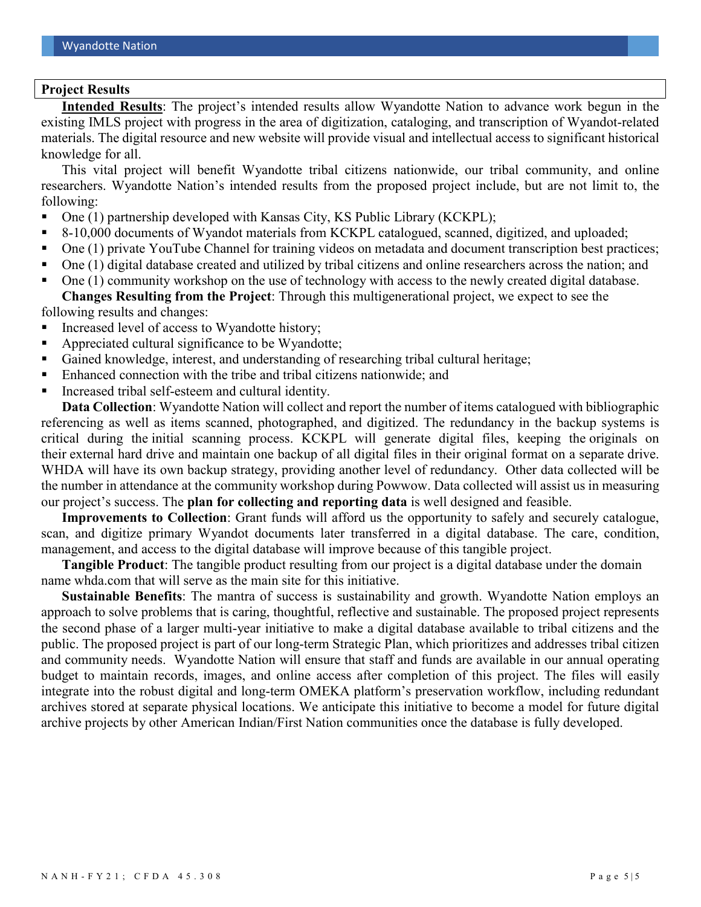### **Project Results**

**Intended Results**: The project's intended results allow Wyandotte Nation to advance work begun in the existing IMLS project with progress in the area of digitization, cataloging, and transcription of Wyandot-related materials. The digital resource and new website will provide visual and intellectual access to significant historical knowledge for all.

This vital project will benefit Wyandotte tribal citizens nationwide, our tribal community, and online researchers. Wyandotte Nation's intended results from the proposed project include, but are not limit to, the following:

- One (1) partnership developed with Kansas City, KS Public Library (KCKPL);
- 8-10,000 documents of Wyandot materials from KCKPL catalogued, scanned, digitized, and uploaded;
- One (1) private YouTube Channel for training videos on metadata and document transcription best practices;
- One (1) digital database created and utilized by tribal citizens and online researchers across the nation; and
- One (1) community workshop on the use of technology with access to the newly created digital database. **Changes Resulting from the Project**: Through this multigenerational project, we expect to see the

following results and changes:

- Increased level of access to Wyandotte history;
- Appreciated cultural significance to be Wyandotte;
- Gained knowledge, interest, and understanding of researching tribal cultural heritage;
- Enhanced connection with the tribe and tribal citizens nationwide; and
- Increased tribal self-esteem and cultural identity.

**Data Collection**: Wyandotte Nation will collect and report the number of items catalogued with bibliographic referencing as well as items scanned, photographed, and digitized. The redundancy in the backup systems is critical during the initial scanning process. KCKPL will generate digital files, keeping the originals on their external hard drive and maintain one backup of all digital files in their original format on a separate drive. WHDA will have its own backup strategy, providing another level of redundancy. Other data collected will be the number in attendance at the community workshop during Powwow. Data collected will assist us in measuring our project's success. The **plan for collecting and reporting data** is well designed and feasible.

**Improvements to Collection**: Grant funds will afford us the opportunity to safely and securely catalogue, scan, and digitize primary Wyandot documents later transferred in a digital database. The care, condition, management, and access to the digital database will improve because of this tangible project.

**Tangible Product**: The tangible product resulting from our project is a digital database under the domain name whda.com that will serve as the main site for this initiative.

**Sustainable Benefits**: The mantra of success is sustainability and growth. Wyandotte Nation employs an approach to solve problems that is caring, thoughtful, reflective and sustainable. The proposed project represents the second phase of a larger multi-year initiative to make a digital database available to tribal citizens and the public. The proposed project is part of our long-term Strategic Plan, which prioritizes and addresses tribal citizen and community needs. Wyandotte Nation will ensure that staff and funds are available in our annual operating budget to maintain records, images, and online access after completion of this project. The files will easily integrate into the robust digital and long-term OMEKA platform's preservation workflow, including redundant archives stored at separate physical locations. We anticipate this initiative to become a model for future digital archive projects by other American Indian/First Nation communities once the database is fully developed.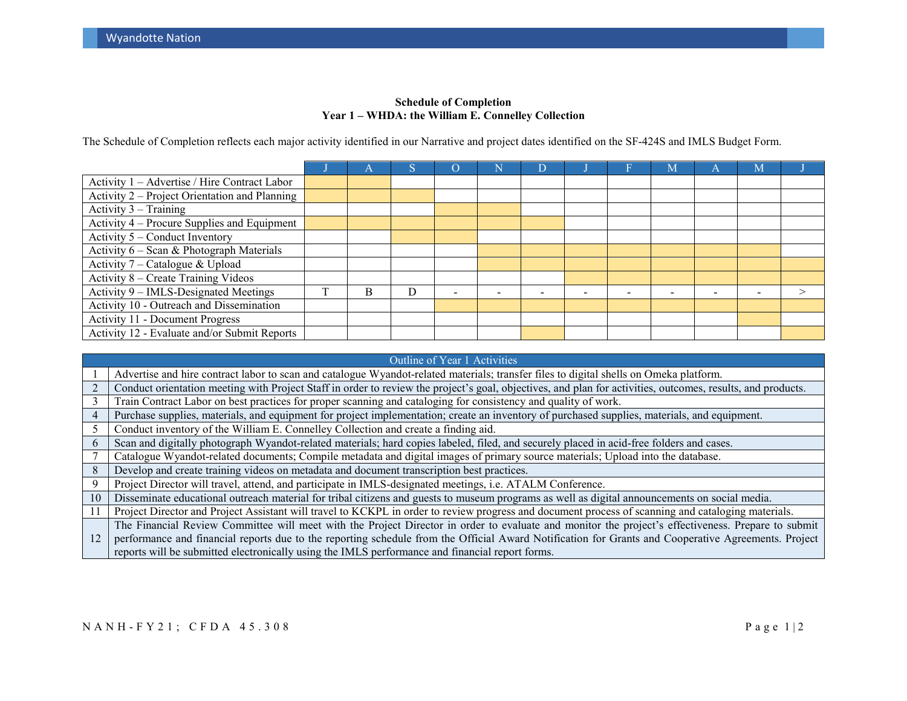#### **Schedule of Completion Year 1 – WHDA: the William E. Connelley Collection**

The Schedule of Completion reflects each major activity identified in our Narrative and project dates identified on the SF-424S and IMLS Budget Form.

| Activity 1 - Advertise / Hire Contract Labor  |   |  |                          |  |                          |                          |  |
|-----------------------------------------------|---|--|--------------------------|--|--------------------------|--------------------------|--|
| Activity 2 – Project Orientation and Planning |   |  |                          |  |                          |                          |  |
| Activity $3 - Training$                       |   |  |                          |  |                          |                          |  |
| Activity 4 – Procure Supplies and Equipment   |   |  |                          |  |                          |                          |  |
| Activity 5 – Conduct Inventory                |   |  |                          |  |                          |                          |  |
| Activity 6 - Scan & Photograph Materials      |   |  |                          |  |                          |                          |  |
| Activity 7 – Catalogue & Upload               |   |  |                          |  |                          |                          |  |
| Activity 8 – Create Training Videos           |   |  |                          |  |                          |                          |  |
| Activity 9 – IMLS-Designated Meetings         | R |  | $\overline{\phantom{0}}$ |  | $\overline{\phantom{0}}$ | $\overline{\phantom{0}}$ |  |
| Activity 10 - Outreach and Dissemination      |   |  |                          |  |                          |                          |  |
| <b>Activity 11 - Document Progress</b>        |   |  |                          |  |                          |                          |  |
| Activity 12 - Evaluate and/or Submit Reports  |   |  |                          |  |                          |                          |  |

|     | Outline of Year 1 Activities                                                                                                                                |
|-----|-------------------------------------------------------------------------------------------------------------------------------------------------------------|
|     | Advertise and hire contract labor to scan and catalogue Wyandot-related materials; transfer files to digital shells on Omeka platform.                      |
|     | Conduct orientation meeting with Project Staff in order to review the project's goal, objectives, and plan for activities, outcomes, results, and products. |
| 3   | Train Contract Labor on best practices for proper scanning and cataloging for consistency and quality of work.                                              |
| 4   | Purchase supplies, materials, and equipment for project implementation; create an inventory of purchased supplies, materials, and equipment.                |
|     | Conduct inventory of the William E. Connelley Collection and create a finding aid.                                                                          |
| 6   | Scan and digitally photograph Wyandot-related materials; hard copies labeled, filed, and securely placed in acid-free folders and cases.                    |
|     | Catalogue Wyandot-related documents; Compile metadata and digital images of primary source materials; Upload into the database.                             |
| 8   | Develop and create training videos on metadata and document transcription best practices.                                                                   |
| 9   | Project Director will travel, attend, and participate in IMLS-designated meetings, i.e. ATALM Conference.                                                   |
| 10  | Disseminate educational outreach material for tribal citizens and guests to museum programs as well as digital announcements on social media.               |
| -11 | Project Director and Project Assistant will travel to KCKPL in order to review progress and document process of scanning and cataloging materials.          |
|     | The Financial Review Committee will meet with the Project Director in order to evaluate and monitor the project's effectiveness. Prepare to submit          |
| 12  | performance and financial reports due to the reporting schedule from the Official Award Notification for Grants and Cooperative Agreements. Project         |
|     | reports will be submitted electronically using the IMLS performance and financial report forms.                                                             |

## NANH-FY21; CFDA 45.308 Page 1 | 2